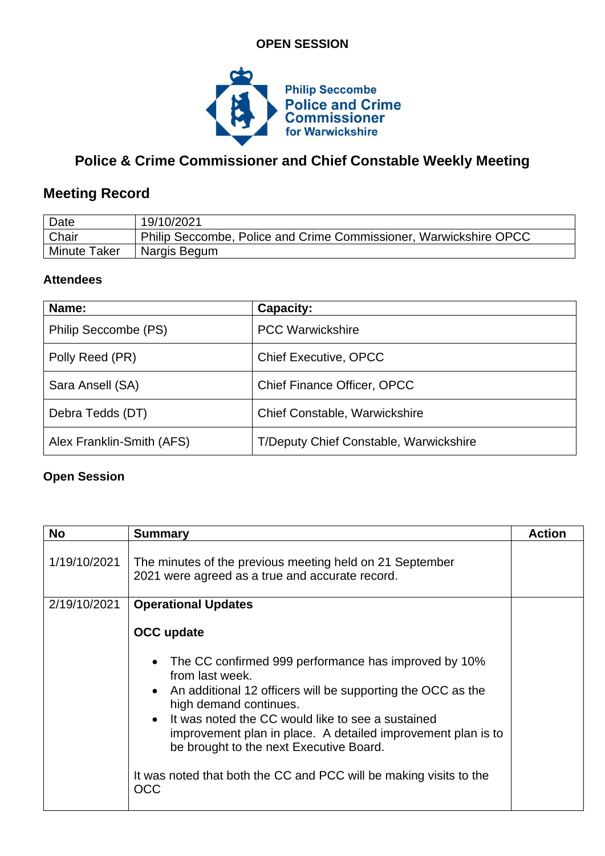### **OPEN SESSION**



# **Police & Crime Commissioner and Chief Constable Weekly Meeting**

# **Meeting Record**

| Date                | 19/10/2021                                                        |
|---------------------|-------------------------------------------------------------------|
| <b>Chair</b>        | Philip Seccombe, Police and Crime Commissioner, Warwickshire OPCC |
| <b>Minute Taker</b> | Nargis Begum                                                      |

#### **Attendees**

| Name:                     | Capacity:                              |
|---------------------------|----------------------------------------|
| Philip Seccombe (PS)      | <b>PCC Warwickshire</b>                |
| Polly Reed (PR)           | <b>Chief Executive, OPCC</b>           |
| Sara Ansell (SA)          | <b>Chief Finance Officer, OPCC</b>     |
| Debra Tedds (DT)          | <b>Chief Constable, Warwickshire</b>   |
| Alex Franklin-Smith (AFS) | T/Deputy Chief Constable, Warwickshire |

## **Open Session**

| <b>No</b>    | <b>Summary</b>                                                                                                                                                                                                                                                                                                                                    | <b>Action</b> |
|--------------|---------------------------------------------------------------------------------------------------------------------------------------------------------------------------------------------------------------------------------------------------------------------------------------------------------------------------------------------------|---------------|
| 1/19/10/2021 | The minutes of the previous meeting held on 21 September<br>2021 were agreed as a true and accurate record.                                                                                                                                                                                                                                       |               |
| 2/19/10/2021 | <b>Operational Updates</b>                                                                                                                                                                                                                                                                                                                        |               |
|              | <b>OCC</b> update                                                                                                                                                                                                                                                                                                                                 |               |
|              | The CC confirmed 999 performance has improved by 10%<br>$\bullet$<br>from last week.<br>• An additional 12 officers will be supporting the OCC as the<br>high demand continues.<br>• It was noted the CC would like to see a sustained<br>improvement plan in place. A detailed improvement plan is to<br>be brought to the next Executive Board. |               |
|              | It was noted that both the CC and PCC will be making visits to the<br>OCC                                                                                                                                                                                                                                                                         |               |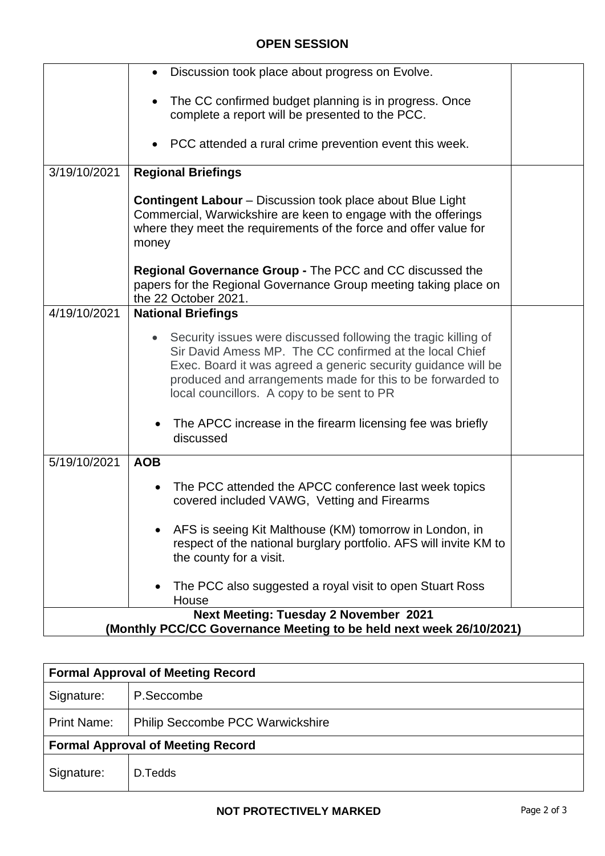#### **OPEN SESSION**

|                                                                                                                     | Discussion took place about progress on Evolve.                                                                                                                                                                                                                                                                     |  |
|---------------------------------------------------------------------------------------------------------------------|---------------------------------------------------------------------------------------------------------------------------------------------------------------------------------------------------------------------------------------------------------------------------------------------------------------------|--|
|                                                                                                                     | The CC confirmed budget planning is in progress. Once<br>$\bullet$<br>complete a report will be presented to the PCC.                                                                                                                                                                                               |  |
|                                                                                                                     | PCC attended a rural crime prevention event this week.                                                                                                                                                                                                                                                              |  |
| 3/19/10/2021                                                                                                        | <b>Regional Briefings</b>                                                                                                                                                                                                                                                                                           |  |
|                                                                                                                     | <b>Contingent Labour</b> – Discussion took place about Blue Light<br>Commercial, Warwickshire are keen to engage with the offerings<br>where they meet the requirements of the force and offer value for<br>money                                                                                                   |  |
|                                                                                                                     | Regional Governance Group - The PCC and CC discussed the<br>papers for the Regional Governance Group meeting taking place on<br>the 22 October 2021.                                                                                                                                                                |  |
| 4/19/10/2021                                                                                                        | <b>National Briefings</b>                                                                                                                                                                                                                                                                                           |  |
|                                                                                                                     | Security issues were discussed following the tragic killing of<br>$\bullet$<br>Sir David Amess MP. The CC confirmed at the local Chief<br>Exec. Board it was agreed a generic security guidance will be<br>produced and arrangements made for this to be forwarded to<br>local councillors. A copy to be sent to PR |  |
|                                                                                                                     | The APCC increase in the firearm licensing fee was briefly<br>discussed                                                                                                                                                                                                                                             |  |
| 5/19/10/2021                                                                                                        | <b>AOB</b>                                                                                                                                                                                                                                                                                                          |  |
|                                                                                                                     | The PCC attended the APCC conference last week topics<br>covered included VAWG, Vetting and Firearms                                                                                                                                                                                                                |  |
|                                                                                                                     | AFS is seeing Kit Malthouse (KM) tomorrow in London, in<br>respect of the national burglary portfolio. AFS will invite KM to<br>the county for a visit.                                                                                                                                                             |  |
|                                                                                                                     | The PCC also suggested a royal visit to open Stuart Ross<br>House                                                                                                                                                                                                                                                   |  |
| <b>Next Meeting: Tuesday 2 November 2021</b><br>(Monthly PCC/CC Governance Meeting to be held next week 26/10/2021) |                                                                                                                                                                                                                                                                                                                     |  |
|                                                                                                                     |                                                                                                                                                                                                                                                                                                                     |  |

| <b>Formal Approval of Meeting Record</b> |                                         |  |
|------------------------------------------|-----------------------------------------|--|
| Signature:                               | P.Seccombe                              |  |
| <b>Print Name:</b>                       | <b>Philip Seccombe PCC Warwickshire</b> |  |
| <b>Formal Approval of Meeting Record</b> |                                         |  |
| Signature:                               | D.Tedds                                 |  |